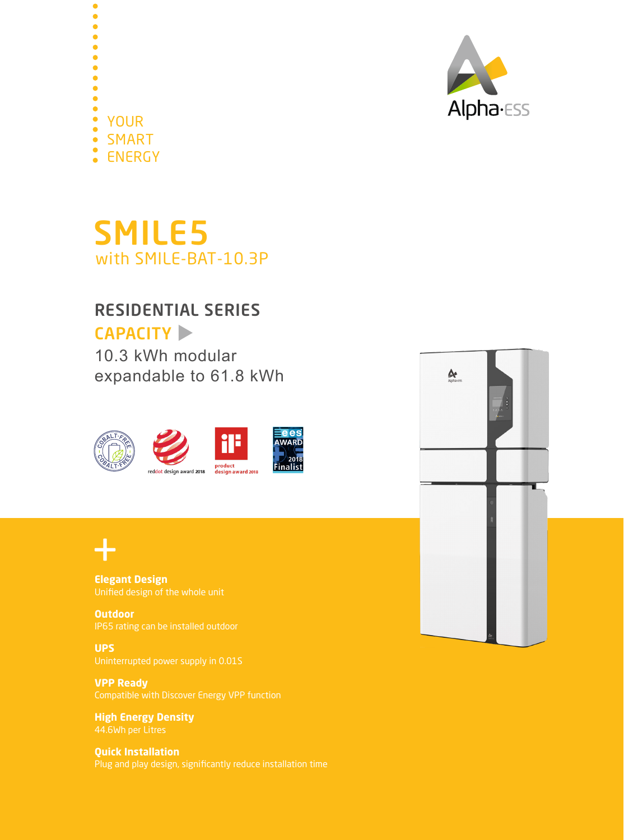



## SMILE5 with SMILE-BAT-10.3P

## RESIDENTIAL SERIES

## CAPACITY

10.3 kWh modular expandable to 61.8 kWh





**Elegant Design**

**Outdoor**

**UPS** Uninterrupted power supply in 0.01S

**VPP Ready** Compatible with Discover Energy VPP function

**High Energy Density**

**Quick Installation**